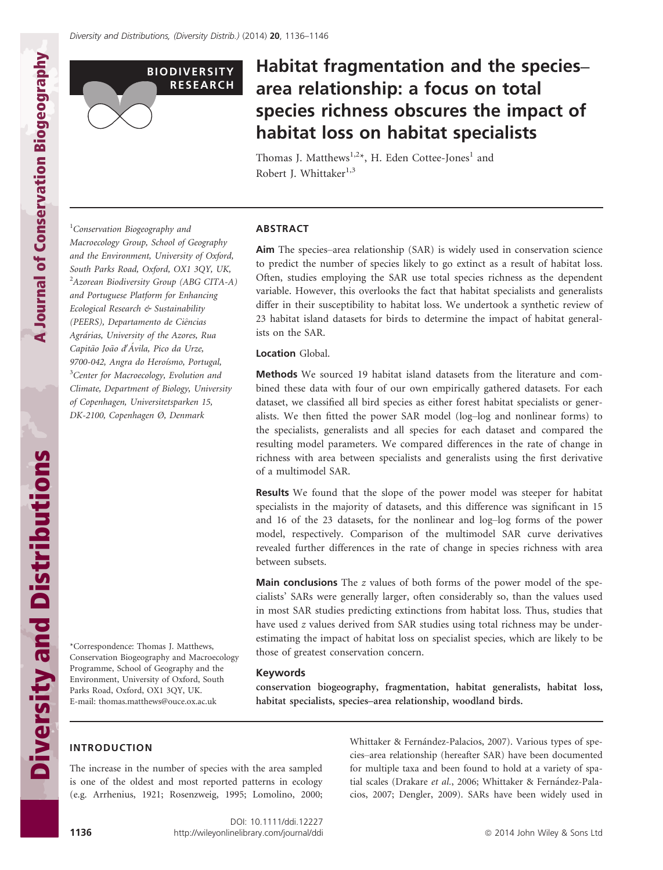

# Habitat fragmentation and the species– area relationship: a focus on total species richness obscures the impact of habitat loss on habitat specialists

Thomas J. Matthews<sup>1,2\*</sup>, H. Eden Cottee-Jones<sup>1</sup> and Robert J. Whittaker<sup>1,3</sup>

<sup>1</sup>Conservation Biogeography and Macroecology Group, School of Geography and the Environment, University of Oxford, South Parks Road, Oxford, OX1 3QY, UK, <sup>2</sup>Azorean Biodiversity Group (ABG CITA-A) and Portuguese Platform for Enhancing Ecological Research & Sustainability (PEERS), Departamento de Ciências Agrárias, University of the Azores, Rua Capitão João d'Ávila, Pico da Urze, 9700-042, Angra do Heroísmo, Portugal, <sup>3</sup>Center for Macroecology, Evolution and Climate, Department of Biology, University of Copenhagen, Universitetsparken 15, DK-2100, Copenhagen Ø, Denmark

#### ABSTRACT

Aim The species–area relationship (SAR) is widely used in conservation science to predict the number of species likely to go extinct as a result of habitat loss. Often, studies employing the SAR use total species richness as the dependent variable. However, this overlooks the fact that habitat specialists and generalists differ in their susceptibility to habitat loss. We undertook a synthetic review of 23 habitat island datasets for birds to determine the impact of habitat generalists on the SAR.

## Location Global.

Methods We sourced 19 habitat island datasets from the literature and combined these data with four of our own empirically gathered datasets. For each dataset, we classified all bird species as either forest habitat specialists or generalists. We then fitted the power SAR model (log–log and nonlinear forms) to the specialists, generalists and all species for each dataset and compared the resulting model parameters. We compared differences in the rate of change in richness with area between specialists and generalists using the first derivative of a multimodel SAR.

Results We found that the slope of the power model was steeper for habitat specialists in the majority of datasets, and this difference was significant in 15 and 16 of the 23 datasets, for the nonlinear and log–log forms of the power model, respectively. Comparison of the multimodel SAR curve derivatives revealed further differences in the rate of change in species richness with area between subsets.

**Main conclusions** The  $z$  values of both forms of the power model of the specialists' SARs were generally larger, often considerably so, than the values used in most SAR studies predicting extinctions from habitat loss. Thus, studies that have used z values derived from SAR studies using total richness may be underestimating the impact of habitat loss on specialist species, which are likely to be those of greatest conservation concern.

#### Keywords

conservation biogeography, fragmentation, habitat generalists, habitat loss, habitat specialists, species–area relationship, woodland birds.

## INTRODUCTION

\*Correspondence: Thomas J. Matthews, Conservation Biogeography and Macroecology Programme, School of Geography and the Environment, University of Oxford, South Parks Road, Oxford, OX1 3QY, UK. E-mail: thomas.matthews@ouce.ox.ac.uk

The increase in the number of species with the area sampled is one of the oldest and most reported patterns in ecology (e.g. Arrhenius, 1921; Rosenzweig, 1995; Lomolino, 2000; Whittaker & Fernández-Palacios, 2007). Various types of species–area relationship (hereafter SAR) have been documented for multiple taxa and been found to hold at a variety of spatial scales (Drakare et al., 2006; Whittaker & Fernández-Palacios, 2007; Dengler, 2009). SARs have been widely used in

Diversity and Distributions Diversity and Distributions

A Journal of Conservation Biogeography

A Journal of Conservation Biogeography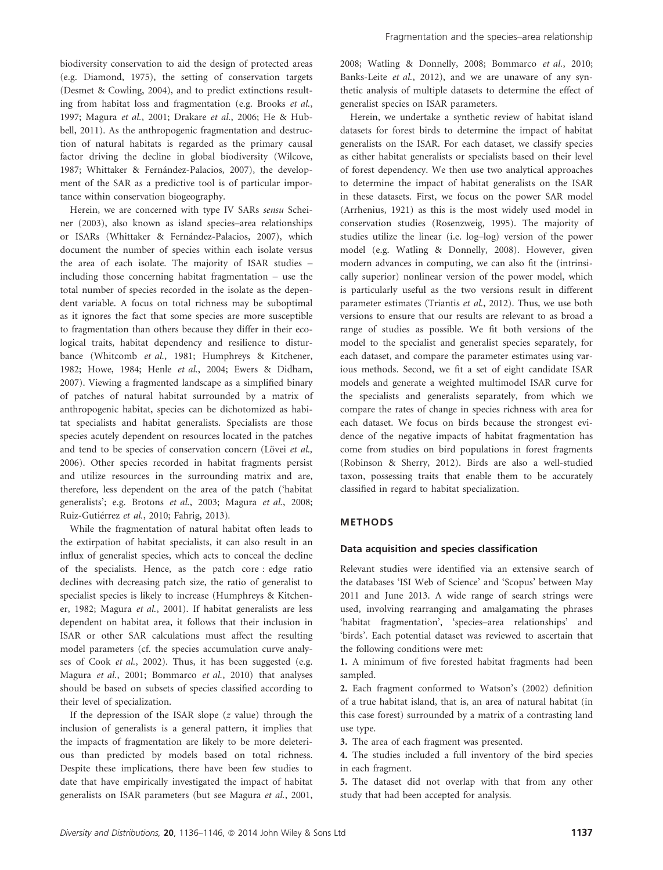biodiversity conservation to aid the design of protected areas (e.g. Diamond, 1975), the setting of conservation targets (Desmet & Cowling, 2004), and to predict extinctions resulting from habitat loss and fragmentation (e.g. Brooks et al., 1997; Magura et al., 2001; Drakare et al., 2006; He & Hubbell, 2011). As the anthropogenic fragmentation and destruction of natural habitats is regarded as the primary causal factor driving the decline in global biodiversity (Wilcove, 1987; Whittaker & Fernández-Palacios, 2007), the development of the SAR as a predictive tool is of particular importance within conservation biogeography.

Herein, we are concerned with type IV SARs sensu Scheiner (2003), also known as island species–area relationships or ISARs (Whittaker & Fernández-Palacios, 2007), which document the number of species within each isolate versus the area of each isolate. The majority of ISAR studies – including those concerning habitat fragmentation – use the total number of species recorded in the isolate as the dependent variable. A focus on total richness may be suboptimal as it ignores the fact that some species are more susceptible to fragmentation than others because they differ in their ecological traits, habitat dependency and resilience to disturbance (Whitcomb et al., 1981; Humphreys & Kitchener, 1982; Howe, 1984; Henle et al., 2004; Ewers & Didham, 2007). Viewing a fragmented landscape as a simplified binary of patches of natural habitat surrounded by a matrix of anthropogenic habitat, species can be dichotomized as habitat specialists and habitat generalists. Specialists are those species acutely dependent on resources located in the patches and tend to be species of conservation concern (Lövei et al., 2006). Other species recorded in habitat fragments persist and utilize resources in the surrounding matrix and are, therefore, less dependent on the area of the patch ('habitat generalists'; e.g. Brotons et al., 2003; Magura et al., 2008; Ruiz-Gutiérrez et al., 2010; Fahrig, 2013).

While the fragmentation of natural habitat often leads to the extirpation of habitat specialists, it can also result in an influx of generalist species, which acts to conceal the decline of the specialists. Hence, as the patch core : edge ratio declines with decreasing patch size, the ratio of generalist to specialist species is likely to increase (Humphreys & Kitchener, 1982; Magura et al., 2001). If habitat generalists are less dependent on habitat area, it follows that their inclusion in ISAR or other SAR calculations must affect the resulting model parameters (cf. the species accumulation curve analyses of Cook et al., 2002). Thus, it has been suggested (e.g. Magura et al., 2001; Bommarco et al., 2010) that analyses should be based on subsets of species classified according to their level of specialization.

If the depression of the ISAR slope  $(z$  value) through the inclusion of generalists is a general pattern, it implies that the impacts of fragmentation are likely to be more deleterious than predicted by models based on total richness. Despite these implications, there have been few studies to date that have empirically investigated the impact of habitat generalists on ISAR parameters (but see Magura et al., 2001, 2008; Watling & Donnelly, 2008; Bommarco et al., 2010; Banks-Leite et al., 2012), and we are unaware of any synthetic analysis of multiple datasets to determine the effect of generalist species on ISAR parameters.

Herein, we undertake a synthetic review of habitat island datasets for forest birds to determine the impact of habitat generalists on the ISAR. For each dataset, we classify species as either habitat generalists or specialists based on their level of forest dependency. We then use two analytical approaches to determine the impact of habitat generalists on the ISAR in these datasets. First, we focus on the power SAR model (Arrhenius, 1921) as this is the most widely used model in conservation studies (Rosenzweig, 1995). The majority of studies utilize the linear (i.e. log–log) version of the power model (e.g. Watling & Donnelly, 2008). However, given modern advances in computing, we can also fit the (intrinsically superior) nonlinear version of the power model, which is particularly useful as the two versions result in different parameter estimates (Triantis et al., 2012). Thus, we use both versions to ensure that our results are relevant to as broad a range of studies as possible. We fit both versions of the model to the specialist and generalist species separately, for each dataset, and compare the parameter estimates using various methods. Second, we fit a set of eight candidate ISAR models and generate a weighted multimodel ISAR curve for the specialists and generalists separately, from which we compare the rates of change in species richness with area for each dataset. We focus on birds because the strongest evidence of the negative impacts of habitat fragmentation has come from studies on bird populations in forest fragments (Robinson & Sherry, 2012). Birds are also a well-studied taxon, possessing traits that enable them to be accurately classified in regard to habitat specialization.

## METHODS

## Data acquisition and species classification

Relevant studies were identified via an extensive search of the databases 'ISI Web of Science' and 'Scopus' between May 2011 and June 2013. A wide range of search strings were used, involving rearranging and amalgamating the phrases 'habitat fragmentation', 'species–area relationships' and 'birds'. Each potential dataset was reviewed to ascertain that the following conditions were met:

1. A minimum of five forested habitat fragments had been sampled.

2. Each fragment conformed to Watson's (2002) definition of a true habitat island, that is, an area of natural habitat (in this case forest) surrounded by a matrix of a contrasting land use type.

3. The area of each fragment was presented.

4. The studies included a full inventory of the bird species in each fragment.

5. The dataset did not overlap with that from any other study that had been accepted for analysis.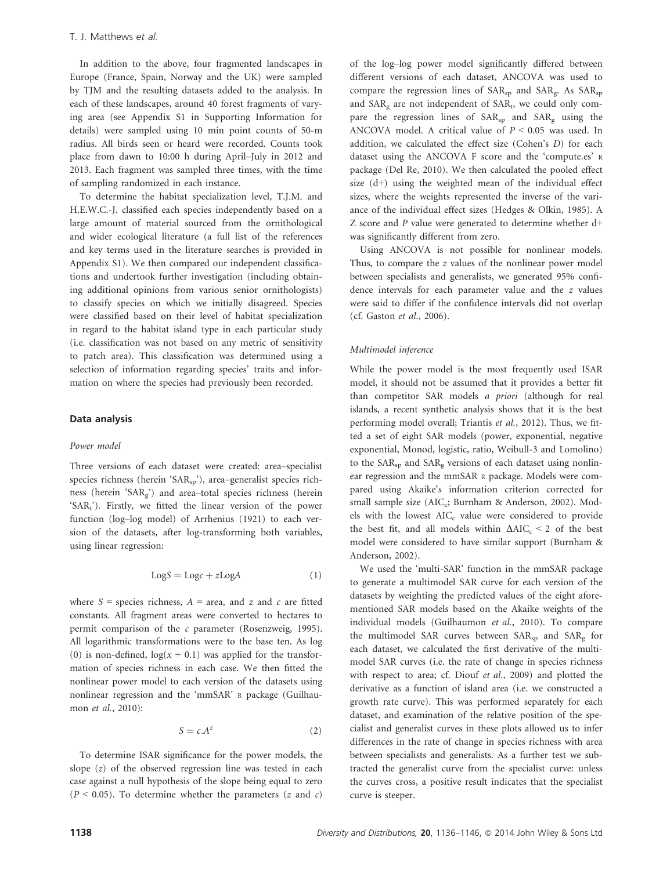In addition to the above, four fragmented landscapes in Europe (France, Spain, Norway and the UK) were sampled by TJM and the resulting datasets added to the analysis. In each of these landscapes, around 40 forest fragments of varying area (see Appendix S1 in Supporting Information for details) were sampled using 10 min point counts of 50-m radius. All birds seen or heard were recorded. Counts took place from dawn to 10:00 h during April–July in 2012 and 2013. Each fragment was sampled three times, with the time of sampling randomized in each instance.

To determine the habitat specialization level, T.J.M. and H.E.W.C.-J. classified each species independently based on a large amount of material sourced from the ornithological and wider ecological literature (a full list of the references and key terms used in the literature searches is provided in Appendix S1). We then compared our independent classifications and undertook further investigation (including obtaining additional opinions from various senior ornithologists) to classify species on which we initially disagreed. Species were classified based on their level of habitat specialization in regard to the habitat island type in each particular study (i.e. classification was not based on any metric of sensitivity to patch area). This classification was determined using a selection of information regarding species' traits and information on where the species had previously been recorded.

#### Data analysis

#### Power model

Three versions of each dataset were created: area–specialist species richness (herein 'SARsp'), area-generalist species richness (herein 'SARg') and area–total species richness (herein 'SAR<sub>t</sub>'). Firstly, we fitted the linear version of the power function (log–log model) of Arrhenius (1921) to each version of the datasets, after log-transforming both variables, using linear regression:

$$
LogS = Logc + zLogA
$$
 (1)

where  $S =$  species richness,  $A =$  area, and z and c are fitted constants. All fragment areas were converted to hectares to permit comparison of the c parameter (Rosenzweig, 1995). All logarithmic transformations were to the base ten. As log (0) is non-defined,  $log(x + 0.1)$  was applied for the transformation of species richness in each case. We then fitted the nonlinear power model to each version of the datasets using nonlinear regression and the 'mmSAR' <sup>R</sup> package (Guilhaumon et al., 2010):

$$
S = c.A^z \tag{2}
$$

To determine ISAR significance for the power models, the slope (z) of the observed regression line was tested in each case against a null hypothesis of the slope being equal to zero  $(P < 0.05)$ . To determine whether the parameters  $(z \text{ and } c)$  of the log–log power model significantly differed between different versions of each dataset, ANCOVA was used to compare the regression lines of  $SAR_{sn}$  and  $SAR_{sr}$ . As  $SAR_{sn}$ and  $SAR_{\varphi}$  are not independent of  $SAR_{\tau}$ , we could only compare the regression lines of  $SAR_{sp}$  and  $SAR_{g}$  using the ANCOVA model. A critical value of  $P \le 0.05$  was used. In addition, we calculated the effect size (Cohen's D) for each dataset using the ANCOVA F score and the 'compute.es' <sup>R</sup> package (Del Re, 2010). We then calculated the pooled effect size (d+) using the weighted mean of the individual effect sizes, where the weights represented the inverse of the variance of the individual effect sizes (Hedges & Olkin, 1985). A Z score and P value were generated to determine whether d+ was significantly different from zero.

Using ANCOVA is not possible for nonlinear models. Thus, to compare the z values of the nonlinear power model between specialists and generalists, we generated 95% confidence intervals for each parameter value and the z values were said to differ if the confidence intervals did not overlap (cf. Gaston et al., 2006).

#### Multimodel inference

While the power model is the most frequently used ISAR model, it should not be assumed that it provides a better fit than competitor SAR models a priori (although for real islands, a recent synthetic analysis shows that it is the best performing model overall; Triantis et al., 2012). Thus, we fitted a set of eight SAR models (power, exponential, negative exponential, Monod, logistic, ratio, Weibull-3 and Lomolino) to the SAR<sub>sp</sub> and SAR<sub>g</sub> versions of each dataset using nonlinear regression and the mmSAR <sup>R</sup> package. Models were compared using Akaike's information criterion corrected for small sample size (AIC<sub>c</sub>; Burnham & Anderson, 2002). Models with the lowest AIC<sub>c</sub> value were considered to provide the best fit, and all models within  $\Delta AIC_{c}$  < 2 of the best model were considered to have similar support (Burnham & Anderson, 2002).

We used the 'multi-SAR' function in the mmSAR package to generate a multimodel SAR curve for each version of the datasets by weighting the predicted values of the eight aforementioned SAR models based on the Akaike weights of the individual models (Guilhaumon et al., 2010). To compare the multimodel SAR curves between  $SAR_{sp}$  and  $SAR_{g}$  for each dataset, we calculated the first derivative of the multimodel SAR curves (i.e. the rate of change in species richness with respect to area; cf. Diouf et al., 2009) and plotted the derivative as a function of island area (i.e. we constructed a growth rate curve). This was performed separately for each dataset, and examination of the relative position of the specialist and generalist curves in these plots allowed us to infer differences in the rate of change in species richness with area between specialists and generalists. As a further test we subtracted the generalist curve from the specialist curve: unless the curves cross, a positive result indicates that the specialist curve is steeper.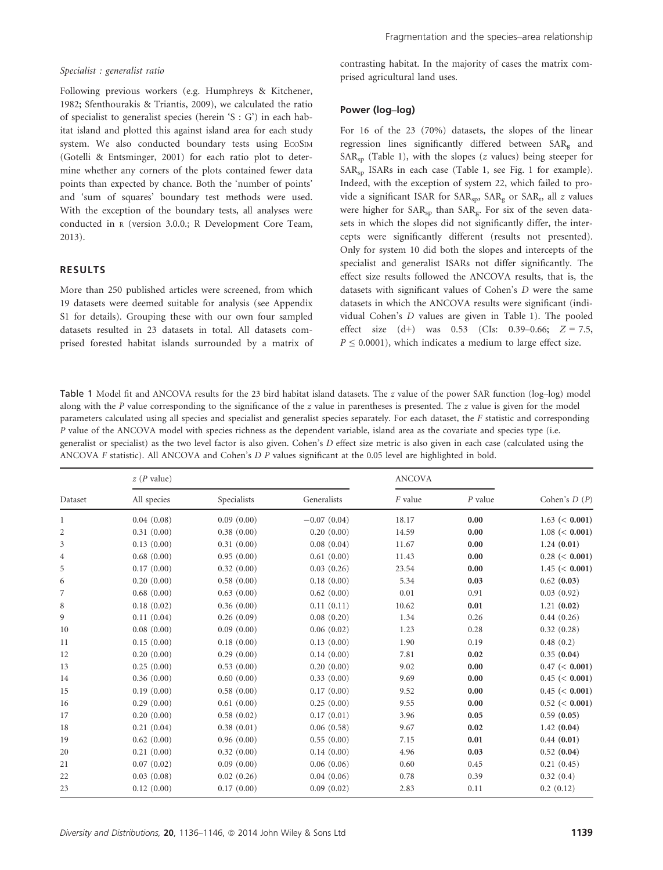#### Specialist : generalist ratio

Following previous workers (e.g. Humphreys & Kitchener, 1982; Sfenthourakis & Triantis, 2009), we calculated the ratio of specialist to generalist species (herein 'S : G') in each habitat island and plotted this against island area for each study system. We also conducted boundary tests using ECOSIM (Gotelli & Entsminger, 2001) for each ratio plot to determine whether any corners of the plots contained fewer data points than expected by chance. Both the 'number of points' and 'sum of squares' boundary test methods were used. With the exception of the boundary tests, all analyses were conducted in <sup>R</sup> (version 3.0.0.; R Development Core Team, 2013).

## RESULTS

More than 250 published articles were screened, from which 19 datasets were deemed suitable for analysis (see Appendix S1 for details). Grouping these with our own four sampled datasets resulted in 23 datasets in total. All datasets comprised forested habitat islands surrounded by a matrix of contrasting habitat. In the majority of cases the matrix comprised agricultural land uses.

#### Power (log–log)

For 16 of the 23 (70%) datasets, the slopes of the linear regression lines significantly differed between  $SAR_{\sigma}$  and  $SAR<sub>sp</sub>$  (Table 1), with the slopes (z values) being steeper for  $SAR<sub>sn</sub>$  ISARs in each case (Table 1, see Fig. 1 for example). Indeed, with the exception of system 22, which failed to provide a significant ISAR for  $SAR_{sp}$ ,  $SAR_{g}$  or  $SAR_{t}$ , all  $z$  values were higher for  $SAR_{sp}$  than  $SAR_{gt}$ . For six of the seven datasets in which the slopes did not significantly differ, the intercepts were significantly different (results not presented). Only for system 10 did both the slopes and intercepts of the specialist and generalist ISARs not differ significantly. The effect size results followed the ANCOVA results, that is, the datasets with significant values of Cohen's D were the same datasets in which the ANCOVA results were significant (individual Cohen's D values are given in Table 1). The pooled effect size  $(d+)$  was 0.53 (CIs: 0.39–0.66;  $Z = 7.5$ ,  $P \leq 0.0001$ , which indicates a medium to large effect size.

Table 1 Model fit and ANCOVA results for the 23 bird habitat island datasets. The <sup>z</sup> value of the power SAR function (log–log) model along with the P value corresponding to the significance of the z value in parentheses is presented. The z value is given for the model parameters calculated using all species and specialist and generalist species separately. For each dataset, the F statistic and corresponding P value of the ANCOVA model with species richness as the dependent variable, island area as the covariate and species type (i.e. generalist or specialist) as the two level factor is also given. Cohen's D effect size metric is also given in each case (calculated using the ANCOVA F statistic). All ANCOVA and Cohen's D P values significant at the 0.05 level are highlighted in bold.

| Dataset | $z$ (P value) |             |               | <b>ANCOVA</b> |           |                   |  |
|---------|---------------|-------------|---------------|---------------|-----------|-------------------|--|
|         | All species   | Specialists | Generalists   | F value       | $P$ value | Cohen's $D(P)$    |  |
| 1       | 0.04(0.08)    | 0.09(0.00)  | $-0.07(0.04)$ | 18.17         | 0.00      | $1.63 \leq 0.001$ |  |
| 2       | 0.31(0.00)    | 0.38(0.00)  | 0.20(0.00)    | 14.59         | 0.00      | $1.08 \leq 0.001$ |  |
| 3       | 0.13(0.00)    | 0.31(0.00)  | 0.08(0.04)    | 11.67         | 0.00      | 1.24(0.01)        |  |
| 4       | 0.68(0.00)    | 0.95(0.00)  | 0.61(0.00)    | 11.43         | 0.00      | $0.28 \leq 0.001$ |  |
| 5       | 0.17(0.00)    | 0.32(0.00)  | 0.03(0.26)    | 23.54         | 0.00      | $1.45 \leq 0.001$ |  |
| 6       | 0.20(0.00)    | 0.58(0.00)  | 0.18(0.00)    | 5.34          | 0.03      | 0.62(0.03)        |  |
| 7       | 0.68(0.00)    | 0.63(0.00)  | 0.62(0.00)    | 0.01          | 0.91      | 0.03(0.92)        |  |
| 8       | 0.18(0.02)    | 0.36(0.00)  | 0.11(0.11)    | 10.62         | 0.01      | 1.21(0.02)        |  |
| 9       | 0.11(0.04)    | 0.26(0.09)  | 0.08(0.20)    | 1.34          | 0.26      | 0.44(0.26)        |  |
| 10      | 0.08(0.00)    | 0.09(0.00)  | 0.06(0.02)    | 1.23          | 0.28      | 0.32(0.28)        |  |
| 11      | 0.15(0.00)    | 0.18(0.00)  | 0.13(0.00)    | 1.90          | 0.19      | 0.48(0.2)         |  |
| 12      | 0.20(0.00)    | 0.29(0.00)  | 0.14(0.00)    | 7.81          | 0.02      | 0.35(0.04)        |  |
| 13      | 0.25(0.00)    | 0.53(0.00)  | 0.20(0.00)    | 9.02          | 0.00      | $0.47 \leq 0.001$ |  |
| 14      | 0.36(0.00)    | 0.60(0.00)  | 0.33(0.00)    | 9.69          | 0.00      | $0.45 \leq 0.001$ |  |
| 15      | 0.19(0.00)    | 0.58(0.00)  | 0.17(0.00)    | 9.52          | 0.00      | $0.45 \leq 0.001$ |  |
| 16      | 0.29(0.00)    | 0.61(0.00)  | 0.25(0.00)    | 9.55          | 0.00      | $0.52 \leq 0.001$ |  |
| 17      | 0.20(0.00)    | 0.58(0.02)  | 0.17(0.01)    | 3.96          | 0.05      | 0.59(0.05)        |  |
| 18      | 0.21(0.04)    | 0.38(0.01)  | 0.06(0.58)    | 9.67          | 0.02      | 1.42(0.04)        |  |
| 19      | 0.62(0.00)    | 0.96(0.00)  | 0.55(0.00)    | 7.15          | 0.01      | 0.44(0.01)        |  |
| 20      | 0.21(0.00)    | 0.32(0.00)  | 0.14(0.00)    | 4.96          | 0.03      | 0.52(0.04)        |  |
| 21      | 0.07(0.02)    | 0.09(0.00)  | 0.06(0.06)    | 0.60          | 0.45      | 0.21(0.45)        |  |
| 22      | 0.03(0.08)    | 0.02(0.26)  | 0.04(0.06)    | 0.78          | 0.39      | 0.32(0.4)         |  |
| 23      | 0.12(0.00)    | 0.17(0.00)  | 0.09(0.02)    | 2.83          | 0.11      | 0.2(0.12)         |  |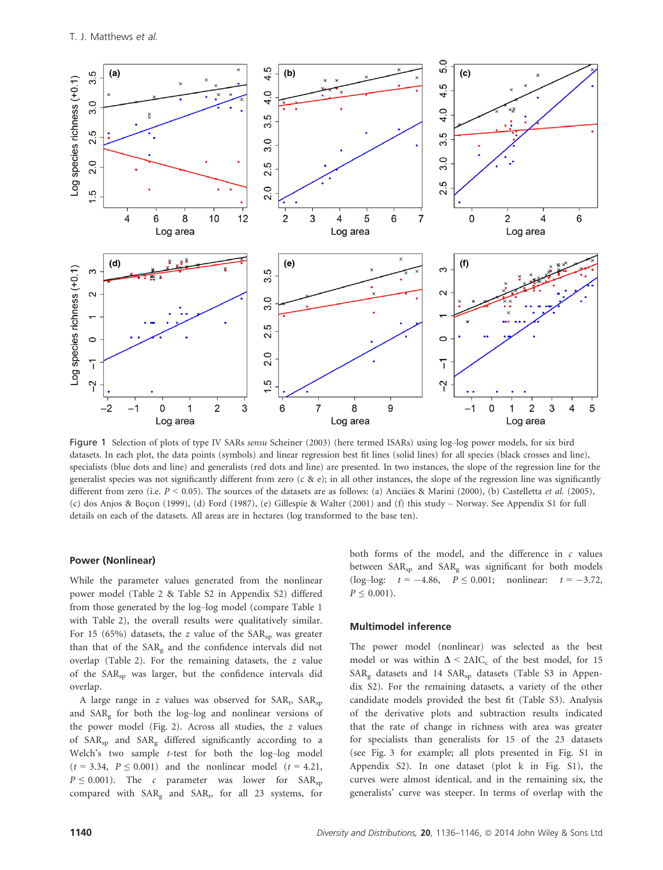

Figure 1 Selection of plots of type IV SARs sensu Scheiner (2003) (here termed ISARs) using log–log power models, for six bird datasets. In each plot, the data points (symbols) and linear regression best fit lines (solid lines) for all species (black crosses and line), specialists (blue dots and line) and generalists (red dots and line) are presented. In two instances, the slope of the regression line for the generalist species was not significantly different from zero (c & e); in all other instances, the slope of the regression line was significantly different from zero (i.e.  $P < 0.05$ ). The sources of the datasets are as follows: (a) Anciães & Marini (2000), (b) Castelletta et al. (2005), (c) dos Anjos & Bocon (1999), (d) Ford (1987), (e) Gillespie & Walter (2001) and (f) this study – Norway. See Appendix S1 for full details on each of the datasets. All areas are in hectares (log transformed to the base ten).

#### Power (Nonlinear)

While the parameter values generated from the nonlinear power model (Table 2 & Table S2 in Appendix S2) differed from those generated by the log–log model (compare Table 1 with Table 2), the overall results were qualitatively similar. For 15 (65%) datasets, the z value of the  $SAR_{sp}$  was greater than that of the SARg and the confidence intervals did not overlap (Table 2). For the remaining datasets, the z value of the SARsp was larger, but the confidence intervals did overlap.

A large range in z values was observed for  $SAR_t$ ,  $SAR_{sp}$ and  $SAR<sub>g</sub>$  for both the log-log and nonlinear versions of the power model (Fig. 2). Across all studies, the z values of SAR<sub>sp</sub> and SAR<sub>g</sub> differed significantly according to a Welch's two sample t-test for both the log–log model  $(t = 3.34, P \le 0.001)$  and the nonlinear model  $(t = 4.21,$  $P \leq 0.001$ ). The c parameter was lower for SAR<sub>sp</sub> compared with  $SAR_{g}$  and  $SAR_{t}$ , for all 23 systems, for

both forms of the model, and the difference in  $c$  values between  $SAR_{sp}$  and  $SAR_{g}$  was significant for both models (log-log:  $t = -4.86$ ,  $P \le 0.001$ ; nonlinear:  $t = -3.72$ ,  $P \leq 0.001$ ).

#### Multimodel inference

The power model (nonlinear) was selected as the best model or was within  $\Delta$  < 2AIC<sub>c</sub> of the best model, for 15  $SAR<sub>g</sub>$  datasets and 14  $SAR<sub>sp</sub>$  datasets (Table S3 in Appendix S2). For the remaining datasets, a variety of the other candidate models provided the best fit (Table S3). Analysis of the derivative plots and subtraction results indicated that the rate of change in richness with area was greater for specialists than generalists for 15 of the 23 datasets (see Fig. 3 for example; all plots presented in Fig. S1 in Appendix S2). In one dataset (plot k in Fig. S1), the curves were almost identical, and in the remaining six, the generalists' curve was steeper. In terms of overlap with the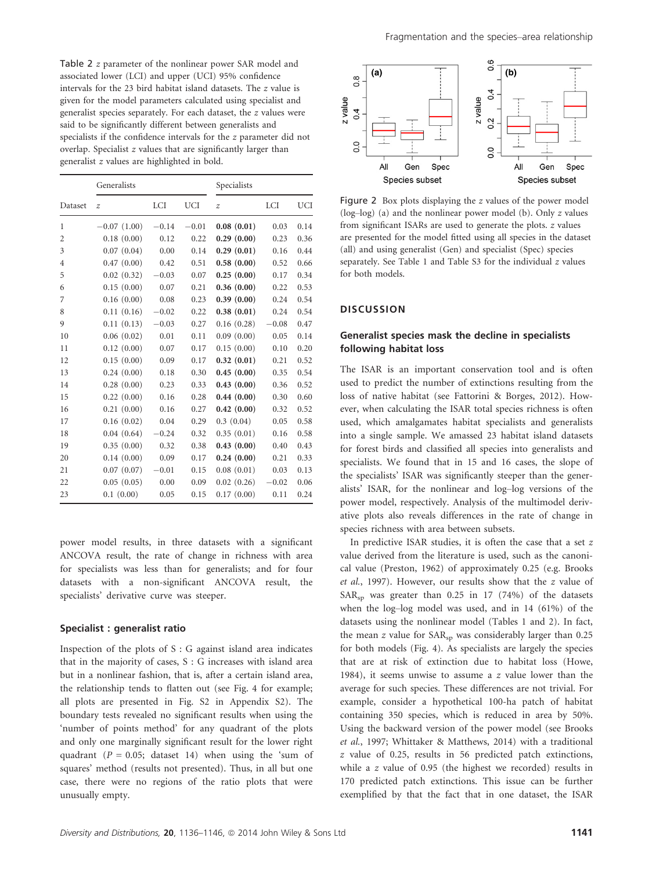Table 2 *z* parameter of the nonlinear power SAR model and associated lower (LCI) and upper (UCI) 95% confidence intervals for the 23 bird habitat island datasets. The z value is given for the model parameters calculated using specialist and generalist species separately. For each dataset, the z values were said to be significantly different between generalists and specialists if the confidence intervals for the z parameter did not overlap. Specialist z values that are significantly larger than generalist z values are highlighted in bold.

|                | Generalists   |            | Specialists |                |            |            |
|----------------|---------------|------------|-------------|----------------|------------|------------|
| Dataset        | z             | <b>LCI</b> | UCI         | $\overline{z}$ | <b>LCI</b> | <b>UCI</b> |
| 1              | $-0.07(1.00)$ | $-0.14$    | $-0.01$     | 0.08(0.01)     | 0.03       | 0.14       |
| $\overline{2}$ | 0.18(0.00)    | 0.12       | 0.22        | 0.29(0.00)     | 0.23       | 0.36       |
| 3              | 0.07(0.04)    | 0.00       | 0.14        | 0.29(0.01)     | 0.16       | 0.44       |
| $\overline{4}$ | 0.47(0.00)    | 0.42       | 0.51        | 0.58(0.00)     | 0.52       | 0.66       |
| 5              | 0.02(0.32)    | $-0.03$    | 0.07        | 0.25(0.00)     | 0.17       | 0.34       |
| 6              | 0.15(0.00)    | 0.07       | 0.21        | 0.36(0.00)     | 0.22       | 0.53       |
| 7              | 0.16(0.00)    | 0.08       | 0.23        | 0.39(0.00)     | 0.24       | 0.54       |
| 8              | 0.11(0.16)    | $-0.02$    | 0.22        | 0.38(0.01)     | 0.24       | 0.54       |
| 9              | 0.11(0.13)    | $-0.03$    | 0.27        | 0.16(0.28)     | $-0.08$    | 0.47       |
| 10             | 0.06(0.02)    | 0.01       | 0.11        | 0.09(0.00)     | 0.05       | 0.14       |
| 11             | 0.12(0.00)    | 0.07       | 0.17        | 0.15(0.00)     | 0.10       | 0.20       |
| 12             | 0.15(0.00)    | 0.09       | 0.17        | 0.32(0.01)     | 0.21       | 0.52       |
| 13             | 0.24(0.00)    | 0.18       | 0.30        | 0.45(0.00)     | 0.35       | 0.54       |
| 14             | 0.28(0.00)    | 0.23       | 0.33        | 0.43(0.00)     | 0.36       | 0.52       |
| 15             | 0.22(0.00)    | 0.16       | 0.28        | 0.44(0.00)     | 0.30       | 0.60       |
| 16             | 0.21(0.00)    | 0.16       | 0.27        | 0.42(0.00)     | 0.32       | 0.52       |
| 17             | 0.16(0.02)    | 0.04       | 0.29        | 0.3(0.04)      | 0.05       | 0.58       |
| 18             | 0.04(0.64)    | $-0.24$    | 0.32        | 0.35(0.01)     | 0.16       | 0.58       |
| 19             | 0.35(0.00)    | 0.32       | 0.38        | 0.43(0.00)     | 0.40       | 0.43       |
| 20             | 0.14(0.00)    | 0.09       | 0.17        | 0.24(0.00)     | 0.21       | 0.33       |
| 21             | 0.07(0.07)    | $-0.01$    | 0.15        | 0.08(0.01)     | 0.03       | 0.13       |
| 22             | 0.05(0.05)    | 0.00       | 0.09        | 0.02(0.26)     | $-0.02$    | 0.06       |
| 23             | 0.1(0.00)     | 0.05       | 0.15        | 0.17(0.00)     | 0.11       | 0.24       |

power model results, in three datasets with a significant ANCOVA result, the rate of change in richness with area for specialists was less than for generalists; and for four datasets with a non-significant ANCOVA result, the specialists' derivative curve was steeper.

#### Specialist : generalist ratio

Inspection of the plots of S : G against island area indicates that in the majority of cases, S : G increases with island area but in a nonlinear fashion, that is, after a certain island area, the relationship tends to flatten out (see Fig. 4 for example; all plots are presented in Fig. S2 in Appendix S2). The boundary tests revealed no significant results when using the 'number of points method' for any quadrant of the plots and only one marginally significant result for the lower right quadrant ( $P = 0.05$ ; dataset 14) when using the 'sum of squares' method (results not presented). Thus, in all but one case, there were no regions of the ratio plots that were unusually empty.



Figure 2 Box plots displaying the z values of the power model (log–log) (a) and the nonlinear power model (b). Only z values from significant ISARs are used to generate the plots. z values are presented for the model fitted using all species in the dataset (all) and using generalist (Gen) and specialist (Spec) species separately. See Table 1 and Table S3 for the individual z values for both models.

#### **DISCUSSION**

## Generalist species mask the decline in specialists following habitat loss

The ISAR is an important conservation tool and is often used to predict the number of extinctions resulting from the loss of native habitat (see Fattorini & Borges, 2012). However, when calculating the ISAR total species richness is often used, which amalgamates habitat specialists and generalists into a single sample. We amassed 23 habitat island datasets for forest birds and classified all species into generalists and specialists. We found that in 15 and 16 cases, the slope of the specialists' ISAR was significantly steeper than the generalists' ISAR, for the nonlinear and log–log versions of the power model, respectively. Analysis of the multimodel derivative plots also reveals differences in the rate of change in species richness with area between subsets.

In predictive ISAR studies, it is often the case that a set  $z$ value derived from the literature is used, such as the canonical value (Preston, 1962) of approximately 0.25 (e.g. Brooks et al., 1997). However, our results show that the z value of SARsp was greater than 0.25 in 17 (74%) of the datasets when the log–log model was used, and in 14 (61%) of the datasets using the nonlinear model (Tables 1 and 2). In fact, the mean  $z$  value for  $SAR_{sp}$  was considerably larger than 0.25 for both models (Fig. 4). As specialists are largely the species that are at risk of extinction due to habitat loss (Howe, 1984), it seems unwise to assume a z value lower than the average for such species. These differences are not trivial. For example, consider a hypothetical 100-ha patch of habitat containing 350 species, which is reduced in area by 50%. Using the backward version of the power model (see Brooks et al., 1997; Whittaker & Matthews, 2014) with a traditional z value of 0.25, results in 56 predicted patch extinctions, while a z value of 0.95 (the highest we recorded) results in 170 predicted patch extinctions. This issue can be further exemplified by that the fact that in one dataset, the ISAR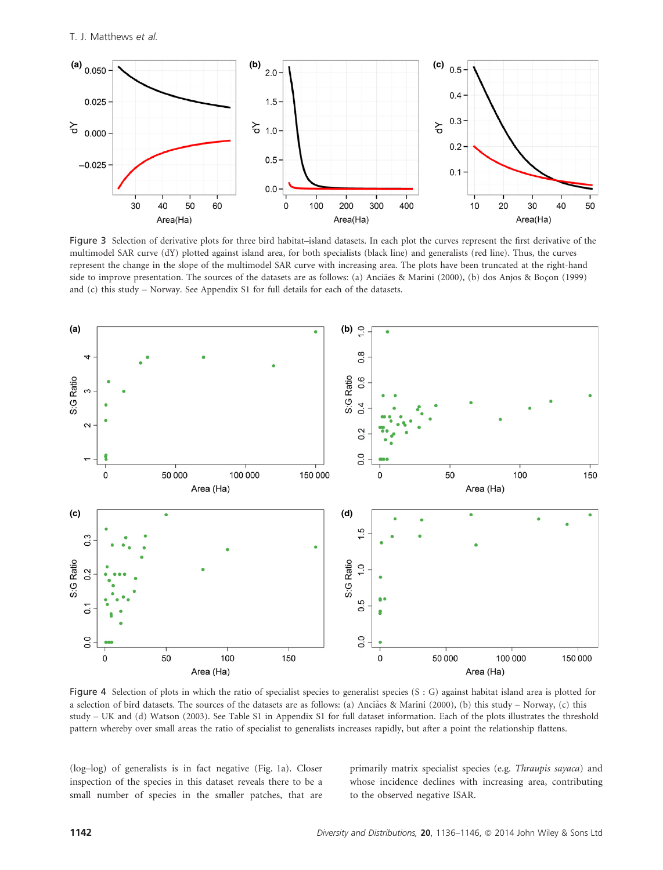T. J. Matthews et al.



Figure 3 Selection of derivative plots for three bird habitat–island datasets. In each plot the curves represent the first derivative of the multimodel SAR curve (dY) plotted against island area, for both specialists (black line) and generalists (red line). Thus, the curves represent the change in the slope of the multimodel SAR curve with increasing area. The plots have been truncated at the right-hand side to improve presentation. The sources of the datasets are as follows: (a) Anciães & Marini (2000), (b) dos Anjos & Boçon (1999) and (c) this study – Norway. See Appendix S1 for full details for each of the datasets.



Figure 4 Selection of plots in which the ratio of specialist species to generalist species (S : G) against habitat island area is plotted for a selection of bird datasets. The sources of the datasets are as follows: (a) Anciães & Marini (2000), (b) this study – Norway, (c) this study – UK and (d) Watson (2003). See Table S1 in Appendix S1 for full dataset information. Each of the plots illustrates the threshold pattern whereby over small areas the ratio of specialist to generalists increases rapidly, but after a point the relationship flattens.

(log–log) of generalists is in fact negative (Fig. 1a). Closer inspection of the species in this dataset reveals there to be a small number of species in the smaller patches, that are primarily matrix specialist species (e.g. Thraupis sayaca) and whose incidence declines with increasing area, contributing to the observed negative ISAR.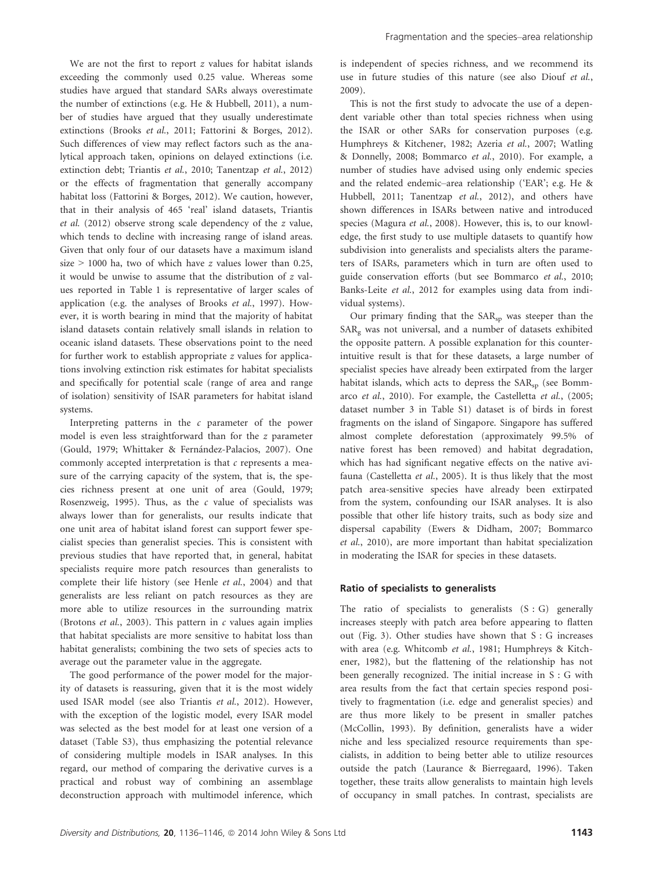We are not the first to report z values for habitat islands exceeding the commonly used 0.25 value. Whereas some studies have argued that standard SARs always overestimate the number of extinctions (e.g. He & Hubbell, 2011), a number of studies have argued that they usually underestimate extinctions (Brooks et al., 2011; Fattorini & Borges, 2012). Such differences of view may reflect factors such as the analytical approach taken, opinions on delayed extinctions (i.e. extinction debt; Triantis et al., 2010; Tanentzap et al., 2012) or the effects of fragmentation that generally accompany habitat loss (Fattorini & Borges, 2012). We caution, however, that in their analysis of 465 'real' island datasets, Triantis et al. (2012) observe strong scale dependency of the z value, which tends to decline with increasing range of island areas. Given that only four of our datasets have a maximum island size  $> 1000$  ha, two of which have z values lower than 0.25, it would be unwise to assume that the distribution of z values reported in Table 1 is representative of larger scales of application (e.g. the analyses of Brooks et al., 1997). However, it is worth bearing in mind that the majority of habitat island datasets contain relatively small islands in relation to oceanic island datasets. These observations point to the need for further work to establish appropriate z values for applications involving extinction risk estimates for habitat specialists and specifically for potential scale (range of area and range of isolation) sensitivity of ISAR parameters for habitat island systems.

Interpreting patterns in the  $c$  parameter of the power model is even less straightforward than for the z parameter (Gould, 1979; Whittaker & Fernández-Palacios, 2007). One commonly accepted interpretation is that  $c$  represents a measure of the carrying capacity of the system, that is, the species richness present at one unit of area (Gould, 1979; Rosenzweig, 1995). Thus, as the  $c$  value of specialists was always lower than for generalists, our results indicate that one unit area of habitat island forest can support fewer specialist species than generalist species. This is consistent with previous studies that have reported that, in general, habitat specialists require more patch resources than generalists to complete their life history (see Henle et al., 2004) and that generalists are less reliant on patch resources as they are more able to utilize resources in the surrounding matrix (Brotons *et al.*, 2003). This pattern in  $c$  values again implies that habitat specialists are more sensitive to habitat loss than habitat generalists; combining the two sets of species acts to average out the parameter value in the aggregate.

The good performance of the power model for the majority of datasets is reassuring, given that it is the most widely used ISAR model (see also Triantis et al., 2012). However, with the exception of the logistic model, every ISAR model was selected as the best model for at least one version of a dataset (Table S3), thus emphasizing the potential relevance of considering multiple models in ISAR analyses. In this regard, our method of comparing the derivative curves is a practical and robust way of combining an assemblage deconstruction approach with multimodel inference, which

is independent of species richness, and we recommend its use in future studies of this nature (see also Diouf et al., 2009).

This is not the first study to advocate the use of a dependent variable other than total species richness when using the ISAR or other SARs for conservation purposes (e.g. Humphreys & Kitchener, 1982; Azeria et al., 2007; Watling & Donnelly, 2008; Bommarco et al., 2010). For example, a number of studies have advised using only endemic species and the related endemic–area relationship ('EAR'; e.g. He & Hubbell, 2011; Tanentzap et al., 2012), and others have shown differences in ISARs between native and introduced species (Magura et al., 2008). However, this is, to our knowledge, the first study to use multiple datasets to quantify how subdivision into generalists and specialists alters the parameters of ISARs, parameters which in turn are often used to guide conservation efforts (but see Bommarco et al., 2010; Banks-Leite et al., 2012 for examples using data from individual systems).

Our primary finding that the SAR<sub>sp</sub> was steeper than the SARg was not universal, and a number of datasets exhibited the opposite pattern. A possible explanation for this counterintuitive result is that for these datasets, a large number of specialist species have already been extirpated from the larger habitat islands, which acts to depress the  $SAR_{\rm{sp}}$  (see Bommarco et al., 2010). For example, the Castelletta et al., (2005; dataset number 3 in Table S1) dataset is of birds in forest fragments on the island of Singapore. Singapore has suffered almost complete deforestation (approximately 99.5% of native forest has been removed) and habitat degradation, which has had significant negative effects on the native avifauna (Castelletta et al., 2005). It is thus likely that the most patch area-sensitive species have already been extirpated from the system, confounding our ISAR analyses. It is also possible that other life history traits, such as body size and dispersal capability (Ewers & Didham, 2007; Bommarco et al., 2010), are more important than habitat specialization in moderating the ISAR for species in these datasets.

## Ratio of specialists to generalists

The ratio of specialists to generalists  $(S : G)$  generally increases steeply with patch area before appearing to flatten out (Fig. 3). Other studies have shown that S : G increases with area (e.g. Whitcomb et al., 1981; Humphreys & Kitchener, 1982), but the flattening of the relationship has not been generally recognized. The initial increase in S : G with area results from the fact that certain species respond positively to fragmentation (i.e. edge and generalist species) and are thus more likely to be present in smaller patches (McCollin, 1993). By definition, generalists have a wider niche and less specialized resource requirements than specialists, in addition to being better able to utilize resources outside the patch (Laurance & Bierregaard, 1996). Taken together, these traits allow generalists to maintain high levels of occupancy in small patches. In contrast, specialists are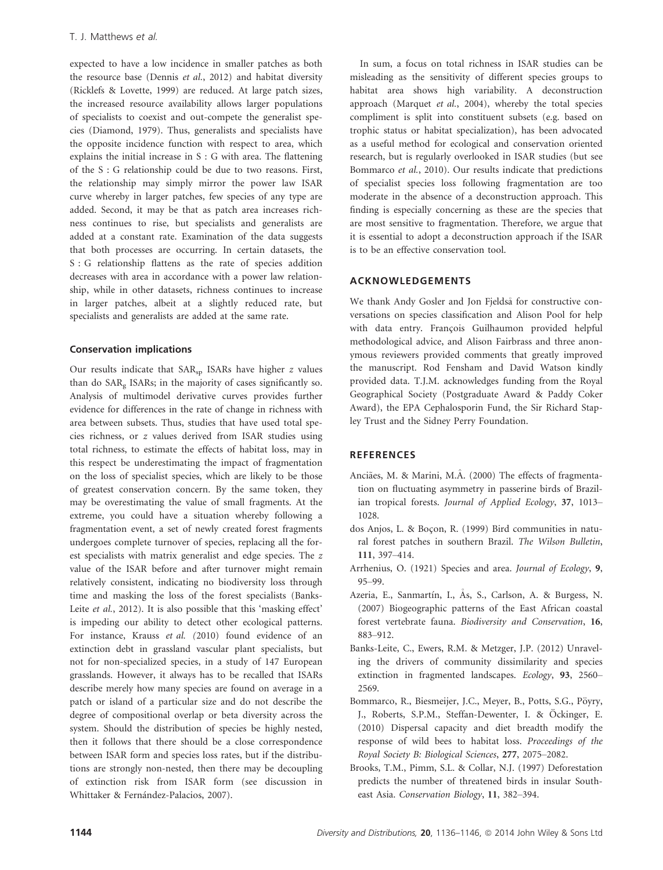expected to have a low incidence in smaller patches as both the resource base (Dennis et al., 2012) and habitat diversity (Ricklefs & Lovette, 1999) are reduced. At large patch sizes, the increased resource availability allows larger populations of specialists to coexist and out-compete the generalist species (Diamond, 1979). Thus, generalists and specialists have the opposite incidence function with respect to area, which explains the initial increase in S : G with area. The flattening of the S : G relationship could be due to two reasons. First, the relationship may simply mirror the power law ISAR curve whereby in larger patches, few species of any type are added. Second, it may be that as patch area increases richness continues to rise, but specialists and generalists are added at a constant rate. Examination of the data suggests that both processes are occurring. In certain datasets, the S : G relationship flattens as the rate of species addition decreases with area in accordance with a power law relationship, while in other datasets, richness continues to increase in larger patches, albeit at a slightly reduced rate, but specialists and generalists are added at the same rate.

## Conservation implications

Our results indicate that  $SAR_{sp}$  ISARs have higher z values than do  $SAR<sub>g</sub>$  ISARs; in the majority of cases significantly so. Analysis of multimodel derivative curves provides further evidence for differences in the rate of change in richness with area between subsets. Thus, studies that have used total species richness, or z values derived from ISAR studies using total richness, to estimate the effects of habitat loss, may in this respect be underestimating the impact of fragmentation on the loss of specialist species, which are likely to be those of greatest conservation concern. By the same token, they may be overestimating the value of small fragments. At the extreme, you could have a situation whereby following a fragmentation event, a set of newly created forest fragments undergoes complete turnover of species, replacing all the forest specialists with matrix generalist and edge species. The z value of the ISAR before and after turnover might remain relatively consistent, indicating no biodiversity loss through time and masking the loss of the forest specialists (Banks-Leite et al., 2012). It is also possible that this 'masking effect' is impeding our ability to detect other ecological patterns. For instance, Krauss et al. (2010) found evidence of an extinction debt in grassland vascular plant specialists, but not for non-specialized species, in a study of 147 European grasslands. However, it always has to be recalled that ISARs describe merely how many species are found on average in a patch or island of a particular size and do not describe the degree of compositional overlap or beta diversity across the system. Should the distribution of species be highly nested, then it follows that there should be a close correspondence between ISAR form and species loss rates, but if the distributions are strongly non-nested, then there may be decoupling of extinction risk from ISAR form (see discussion in Whittaker & Fernández-Palacios, 2007).

In sum, a focus on total richness in ISAR studies can be misleading as the sensitivity of different species groups to habitat area shows high variability. A deconstruction approach (Marquet et al., 2004), whereby the total species compliment is split into constituent subsets (e.g. based on trophic status or habitat specialization), has been advocated as a useful method for ecological and conservation oriented research, but is regularly overlooked in ISAR studies (but see Bommarco et al., 2010). Our results indicate that predictions of specialist species loss following fragmentation are too moderate in the absence of a deconstruction approach. This finding is especially concerning as these are the species that are most sensitive to fragmentation. Therefore, we argue that it is essential to adopt a deconstruction approach if the ISAR is to be an effective conservation tool.

## ACKNOWLEDGEMENTS

We thank Andy Gosler and Jon Fjeldsa for constructive conversations on species classification and Alison Pool for help with data entry. François Guilhaumon provided helpful methodological advice, and Alison Fairbrass and three anonymous reviewers provided comments that greatly improved the manuscript. Rod Fensham and David Watson kindly provided data. T.J.M. acknowledges funding from the Royal Geographical Society (Postgraduate Award & Paddy Coker Award), the EPA Cephalosporin Fund, the Sir Richard Stapley Trust and the Sidney Perry Foundation.

## **REFERENCES**

- Anciães, M. & Marini, M.Â. (2000) The effects of fragmentation on fluctuating asymmetry in passerine birds of Brazilian tropical forests. Journal of Applied Ecology, 37, 1013– 1028.
- dos Anjos, L. & Bocon, R. (1999) Bird communities in natural forest patches in southern Brazil. The Wilson Bulletin, 111, 397–414.
- Arrhenius, O. (1921) Species and area. Journal of Ecology, 9, 95–99.
- Azeria, E., Sanmartín, I., As, S., Carlson, A. & Burgess, N. (2007) Biogeographic patterns of the East African coastal forest vertebrate fauna. Biodiversity and Conservation, 16, 883–912.
- Banks-Leite, C., Ewers, R.M. & Metzger, J.P. (2012) Unraveling the drivers of community dissimilarity and species extinction in fragmented landscapes. Ecology, 93, 2560– 2569.
- Bommarco, R., Biesmeijer, J.C., Meyer, B., Potts, S.G., Pöyry, J., Roberts, S.P.M., Steffan-Dewenter, I. & Öckinger, E. (2010) Dispersal capacity and diet breadth modify the response of wild bees to habitat loss. Proceedings of the Royal Society B: Biological Sciences, 277, 2075–2082.
- Brooks, T.M., Pimm, S.L. & Collar, N.J. (1997) Deforestation predicts the number of threatened birds in insular Southeast Asia. Conservation Biology, 11, 382–394.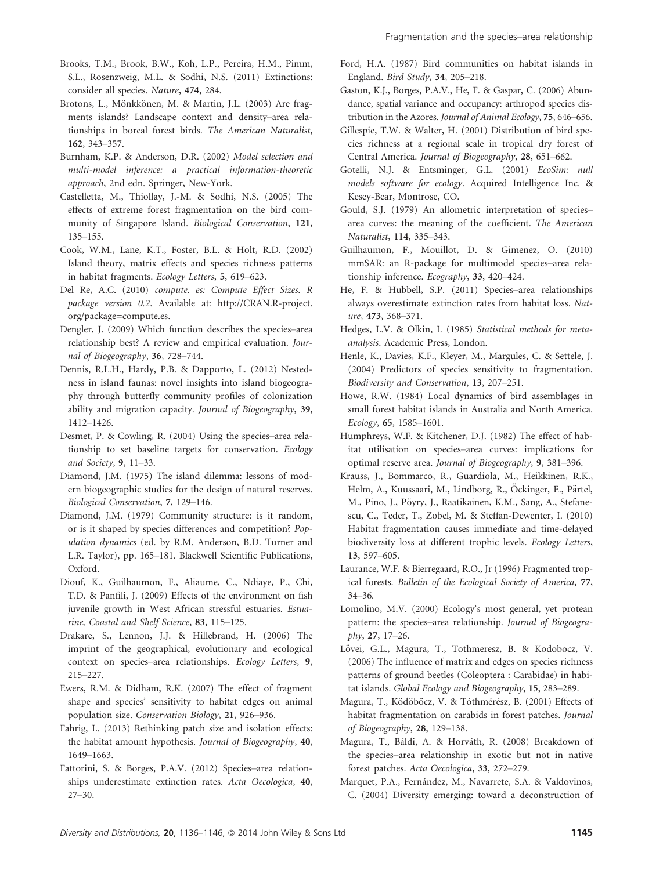- Brooks, T.M., Brook, B.W., Koh, L.P., Pereira, H.M., Pimm, S.L., Rosenzweig, M.L. & Sodhi, N.S. (2011) Extinctions: consider all species. Nature, 474, 284.
- Brotons, L., Mönkkönen, M. & Martin, J.L. (2003) Are fragments islands? Landscape context and density–area relationships in boreal forest birds. The American Naturalist, 162, 343–357.
- Burnham, K.P. & Anderson, D.R. (2002) Model selection and multi-model inference: a practical information-theoretic approach, 2nd edn. Springer, New-York.
- Castelletta, M., Thiollay, J.-M. & Sodhi, N.S. (2005) The effects of extreme forest fragmentation on the bird community of Singapore Island. Biological Conservation, 121, 135–155.
- Cook, W.M., Lane, K.T., Foster, B.L. & Holt, R.D. (2002) Island theory, matrix effects and species richness patterns in habitat fragments. Ecology Letters, 5, 619–623.
- Del Re, A.C. (2010) compute. es: Compute Effect Sizes. R package version 0.2. Available at: http://CRAN.R-project. org/package=compute.es.
- Dengler, J. (2009) Which function describes the species–area relationship best? A review and empirical evaluation. Journal of Biogeography, 36, 728–744.
- Dennis, R.L.H., Hardy, P.B. & Dapporto, L. (2012) Nestedness in island faunas: novel insights into island biogeography through butterfly community profiles of colonization ability and migration capacity. Journal of Biogeography, 39, 1412–1426.
- Desmet, P. & Cowling, R. (2004) Using the species–area relationship to set baseline targets for conservation. Ecology and Society, 9, 11–33.
- Diamond, J.M. (1975) The island dilemma: lessons of modern biogeographic studies for the design of natural reserves. Biological Conservation, 7, 129–146.
- Diamond, J.M. (1979) Community structure: is it random, or is it shaped by species differences and competition? Population dynamics (ed. by R.M. Anderson, B.D. Turner and L.R. Taylor), pp. 165–181. Blackwell Scientific Publications, Oxford.
- Diouf, K., Guilhaumon, F., Aliaume, C., Ndiaye, P., Chi, T.D. & Panfili, J. (2009) Effects of the environment on fish juvenile growth in West African stressful estuaries. Estuarine, Coastal and Shelf Science, 83, 115–125.
- Drakare, S., Lennon, J.J. & Hillebrand, H. (2006) The imprint of the geographical, evolutionary and ecological context on species–area relationships. Ecology Letters, 9, 215–227.
- Ewers, R.M. & Didham, R.K. (2007) The effect of fragment shape and species' sensitivity to habitat edges on animal population size. Conservation Biology, 21, 926–936.
- Fahrig, L. (2013) Rethinking patch size and isolation effects: the habitat amount hypothesis. Journal of Biogeography, 40, 1649–1663.
- Fattorini, S. & Borges, P.A.V. (2012) Species–area relationships underestimate extinction rates. Acta Oecologica, 40, 27–30.
- Ford, H.A. (1987) Bird communities on habitat islands in England. Bird Study, 34, 205–218.
- Gaston, K.J., Borges, P.A.V., He, F. & Gaspar, C. (2006) Abundance, spatial variance and occupancy: arthropod species distribution in the Azores. Journal of Animal Ecology, 75, 646–656.
- Gillespie, T.W. & Walter, H. (2001) Distribution of bird species richness at a regional scale in tropical dry forest of Central America. Journal of Biogeography, 28, 651–662.
- Gotelli, N.J. & Entsminger, G.L. (2001) EcoSim: null models software for ecology. Acquired Intelligence Inc. & Kesey-Bear, Montrose, CO.
- Gould, S.J. (1979) An allometric interpretation of species– area curves: the meaning of the coefficient. The American Naturalist, 114, 335–343.
- Guilhaumon, F., Mouillot, D. & Gimenez, O. (2010) mmSAR: an R-package for multimodel species–area relationship inference. Ecography, 33, 420–424.
- He, F. & Hubbell, S.P. (2011) Species–area relationships always overestimate extinction rates from habitat loss. Nature, 473, 368–371.
- Hedges, L.V. & Olkin, I. (1985) Statistical methods for metaanalysis. Academic Press, London.
- Henle, K., Davies, K.F., Kleyer, M., Margules, C. & Settele, J. (2004) Predictors of species sensitivity to fragmentation. Biodiversity and Conservation, 13, 207–251.
- Howe, R.W. (1984) Local dynamics of bird assemblages in small forest habitat islands in Australia and North America. Ecology, 65, 1585–1601.
- Humphreys, W.F. & Kitchener, D.J. (1982) The effect of habitat utilisation on species–area curves: implications for optimal reserve area. Journal of Biogeography, 9, 381–396.
- Krauss, J., Bommarco, R., Guardiola, M., Heikkinen, R.K., Helm, A., Kuussaari, M., Lindborg, R., Öckinger, E., Pärtel, M., Pino, J., Pöyry, J., Raatikainen, K.M., Sang, A., Stefanescu, C., Teder, T., Zobel, M. & Steffan-Dewenter, I. (2010) Habitat fragmentation causes immediate and time-delayed biodiversity loss at different trophic levels. Ecology Letters, 13, 597–605.
- Laurance, W.F. & Bierregaard, R.O., Jr (1996) Fragmented tropical forests. Bulletin of the Ecological Society of America, 77, 34–36.
- Lomolino, M.V. (2000) Ecology's most general, yet protean pattern: the species–area relationship. Journal of Biogeography, 27, 17–26.
- Lövei, G.L., Magura, T., Tothmeresz, B. & Kodobocz, V. (2006) The influence of matrix and edges on species richness patterns of ground beetles (Coleoptera : Carabidae) in habitat islands. Global Ecology and Biogeography, 15, 283–289.
- Magura, T., Ködöböcz, V. & Tóthmérész, B. (2001) Effects of habitat fragmentation on carabids in forest patches. Journal of Biogeography, 28, 129–138.
- Magura, T., Báldi, A. & Horváth, R. (2008) Breakdown of the species–area relationship in exotic but not in native forest patches. Acta Oecologica, 33, 272–279.
- Marquet, P.A., Fernández, M., Navarrete, S.A. & Valdovinos, C. (2004) Diversity emerging: toward a deconstruction of